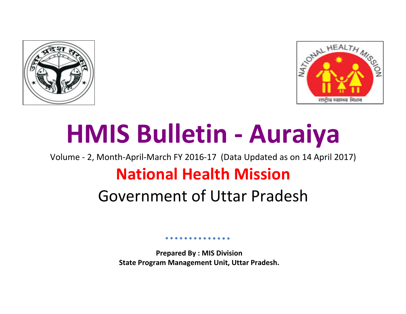



# **HMIS Bulletin - Auraiya**

Volume - 2, Month-April-March FY 2016-17 (Data Updated as on 14 April 2017)

# **National Health Mission**

# Government of Uttar Pradesh

**Prepared By : MIS Division State Program Management Unit, Uttar Pradesh.**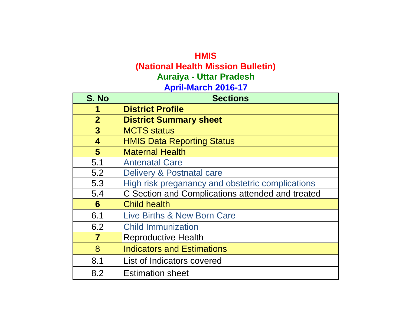# **HMIS (National Health Mission Bulletin) April-March 2016-17 Auraiya - Uttar Pradesh**

| S. No            | <b>Sections</b>                                  |
|------------------|--------------------------------------------------|
| 1                | <b>District Profile</b>                          |
| $\overline{2}$   | <b>District Summary sheet</b>                    |
| $\mathbf{3}$     | <b>MCTS status</b>                               |
| $\boldsymbol{4}$ | <b>HMIS Data Reporting Status</b>                |
| 5                | <b>Maternal Health</b>                           |
| 5.1              | <b>Antenatal Care</b>                            |
| 5.2              | Delivery & Postnatal care                        |
| 5.3              | High risk preganancy and obstetric complications |
| 5.4              | C Section and Complications attended and treated |
| 6                | <b>Child health</b>                              |
| 6.1              | <b>Live Births &amp; New Born Care</b>           |
| 6.2              | <b>Child Immunization</b>                        |
| $\overline{7}$   | <b>Reproductive Health</b>                       |
| 8                | <b>Indicators and Estimations</b>                |
| 8.1              | List of Indicators covered                       |
| 8.2              | <b>Estimation sheet</b>                          |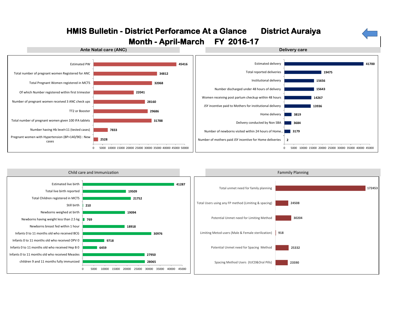



# **HMIS Bulletin - District Perforamce At a Glance District Auraiya**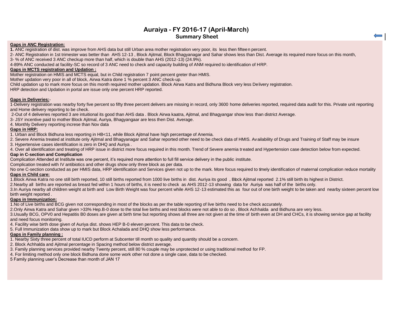# **Auraiya - FY 2016-17 (April-March) Summary Sheet**

#### **Gaps in ANC Registration:**

**1.** ANC registration of dist. was improve from AHS data but still Urban area mother registration very poor, its less then fifteen percent.

2- ANC Registration in 1st trimester was better than AHS 12-13 , Block Ajitmal, Block Bhagyanagar and Sahar shows less than Dist. Average its required more focus on this month, 3- % of ANC received 3 ANC checkup more than half, which is double than AHS (2012-13) (24.9%).

4-89% ANC conducted at facility-SC so record of 3 ANC need to check and capacity building of ANM required to identification of HRP.

#### **Gaps in MCTS registration and Updation :**

Mother registration on HMIS and MCTS equal, but in Child registration 7 point percent greter than HMIS.

Mother updation very poor in all of block, Airwa Katra done 1 % percent 3 ANC check-up.

Child updation up to mark more focus on this month required mother updation. Block Airwa Katra and Bidhuna Block very less Delivery registration.

HRP detection and Updation in portal are issue only one percent HRP reported.

### **Gaps in Deliveries:**-

1-Delivery registration was nearby forty five percent so fifty three percent delivers are missing in record, only 3600 home deliveries reported, required data audit for this. Private unit reporting and Home delivery reporting to be check.

2-Out of 4 deliveries reported 3 are intuitional its good than AHS data . Block Airwa kaatra, Ajitmal, and Bhagyangar show less than district Average.

3- JSY incentive paid to mother Block Ajitmal, Auriya, Bhagyangaar are less then Dist. Average.

4. Monthly Delivery reporting increse than Nov data

#### **Gaps in HRP:**

1. Urban and Block Bidhuna less reporting in HB<11, while Block Ajitmal have high percentage of Anemia.

2. Severe Anemia treated at institute only Ajitmal and Bhagyanagar and Sahar reported other need to be check data of HMIS. Availability of Drugs and Training of Staff may be insure

3. Hypertensive cases identification is zero in DHQ and Auriya .

4. Over all identification and treating of HRP issue in district more focus required in this month. Trend of Severe anemia treated and Hypertension case detection below from expected.

#### **Gap in C-section and Complication**

Complication Attended at Institute was one percent, it's required more attention to full fill service delivery in the public institute.

Complication treated with IV antibiotics and other drugs show only three block as per data.

No one C-section conducted as per HMIS data, HRP identification and Services given not up to the mark. More focus required to timely identification of maternal complication reduce mortality **Gaps in Child care:**

1.Block Airwa Katra no one still birth reported, 10 still births reported from 1000 live births in dist. Auriya its good , Block Ajitmal reported 2.1% still birth its highest in District.

2.Nearby all births are reported as breast fed within 1 hours of births, it is need to check as AHS 2012-13 showing data for Auriya was half of the births only.

3.In Auriya nearby all children weight at birth and Low Birth Weight was four percent while AHS 12-13 estimated this as four out of one birth weight to be taken and nearby sixteen percent low birth weight reported .

#### **Gaps in Immunization:**

1.No of Live births and BCG given not corresponding in most of the blocks as per the table reporting of live births need to be check accurately.

2.Only Airwa Katra and Sahar given >33% Hep.B-0 dose to the total live births and rest blocks were not able to do so , Block Achhalda and Bidhuna are very less.

3.Usually BCG, OPV0 and Hepatitis B0 doses are given at birth time but reporting shows all three are not given at the time of birth even at DH and CHCs, it is showing service gap at facility and need focus monitoring.

4. Facility wise birth dose given of Auriya dist. shows HEP B-0 eleven percent. This data to be check.

5. Full Immunization data show up to mark but Block Achalada and DHQ show less performance.

### **Gaps in Family planning :**

1. Nearby Sixty three percent of total IUCD perform at Subcenter till month so quality and quantity should be a concern.

2. Block Achhalda and Ajitmal percentage in Spacing method below district average.

3. Family planning services provided nearby Twenty percent, still 80 % couple may be unprotected or using traditional method for FP.

4. For limiting method only one block Bidhuna done some work other not done a single case, data to be checked.

5 Family planning user's Decrease than month of JAN 17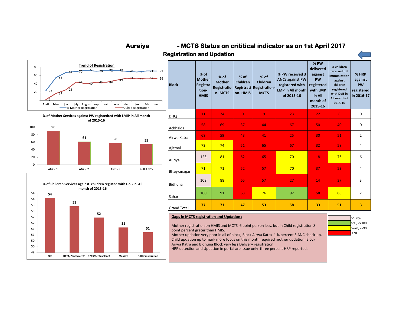

**Auraiya**





 **- MCTS Status on crititical indicator as on 1st April 2017**

| Achhaida                    |     |    |    |    |    |                 |    |                |
|-----------------------------|-----|----|----|----|----|-----------------|----|----------------|
| Airwa Katra                 | 68  | 59 | 43 | 41 | 25 | 30              | 51 | $\overline{2}$ |
| Ajitmal                     | 73  | 74 | 51 | 65 | 67 | 32 <sub>2</sub> | 58 | $\overline{4}$ |
| Auriya                      | 123 | 81 | 62 | 65 | 70 | 18              | 76 | 6              |
| Bhagyanagar                 | 71  | 71 | 52 | 57 | 70 | 37              | 53 | $\overline{4}$ |
| <b>Bidhuna</b>              | 109 | 88 | 65 | 57 | 27 | 14              | 37 | 3              |
| Sahar                       | 100 | 91 | 63 | 76 | 92 | 58              | 88 | $\overline{2}$ |
| $\sim$ $\sim$ $\sim$ $\sim$ | 77  | 71 | 47 | 53 | 58 | 33              | 51 | 3              |

#### **Gaps in MCTS registration and Updation :**

Mother registration on HMIS and MCTS 6 point person less, but in Child registration 8 point percent greter than HMIS.

Mother updation very poor in all of block, Block Airwa Katra 1 % percent 3 ANC check-up. Child updation up to mark more focus on this month required mother updation. Block Airwa Katra and Bidhuna Block very less Delivery registration.

HRP detection and Updation in portal are issue only three percent HRP reported.

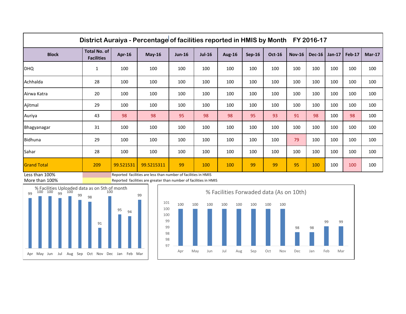| District Auraiya - Percentage of facilities reported in HMIS by Month FY 2016-17 |                                          |           |               |               |               |               |               |               |               |          |          |        |          |
|----------------------------------------------------------------------------------|------------------------------------------|-----------|---------------|---------------|---------------|---------------|---------------|---------------|---------------|----------|----------|--------|----------|
| <b>Block</b>                                                                     | <b>Total No. of</b><br><b>Facilities</b> | Apr-16    | <b>May-16</b> | <b>Jun-16</b> | <b>Jul-16</b> | <b>Aug-16</b> | <b>Sep-16</b> | <b>Oct-16</b> | <b>Nov-16</b> | $Dec-16$ | $Jan-17$ | Feb-17 | $Mar-17$ |
| <b>DHQ</b>                                                                       | $\mathbf{1}$                             | 100       | 100           | 100           | 100           | 100           | 100           | 100           | 100           | 100      | 100      | 100    | 100      |
| Achhalda                                                                         | 28                                       | 100       | 100           | 100           | 100           | 100           | 100           | 100           | 100           | 100      | 100      | 100    | 100      |
| Airwa Katra                                                                      | 20                                       | 100       | 100           | 100           | 100           | 100           | 100           | 100           | 100           | 100      | 100      | 100    | 100      |
| Ajitmal                                                                          | 29                                       | 100       | 100           | 100           | 100           | 100           | 100           | 100           | 100           | 100      | 100      | 100    | 100      |
| Auriya                                                                           | 43                                       | 98        | 98            | 95            | 98            | 98            | 95            | 93            | 91            | 98       | 100      | 98     | 100      |
| Bhagyanagar                                                                      | 31                                       | 100       | 100           | 100           | 100           | 100           | 100           | 100           | 100           | 100      | 100      | 100    | 100      |
| Bidhuna                                                                          | 29                                       | 100       | 100           | 100           | 100           | 100           | 100           | 100           | 79            | 100      | 100      | 100    | 100      |
| Sahar                                                                            | 28                                       | 100       | 100           | 100           | 100           | 100           | 100           | 100           | 100           | 100      | 100      | 100    | 100      |
| <b>Grand Total</b>                                                               | 209                                      | 99.521531 | 99.5215311    | 99            | 100           | 100           | 99            | 99            | 95            | 100      | 100      | 100    | 100      |

Less than 100% **Reported facilities are less than number of facilities in HMIS** 



More than 100% Reported facilities are greater than number of facilities in HMIS

<sup>95</sup> <sup>94</sup>

99



Apr May Jun Jul Aug Sep Oct Nov Dec Jan Feb Mar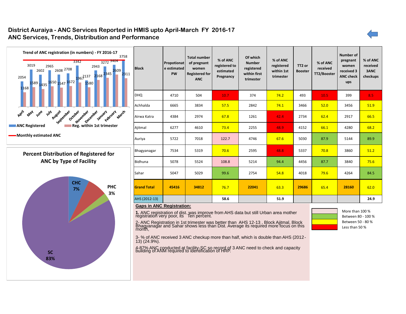# **District Auraiya - ANC Services Reported in HMIS upto April-March FY 2016-17 ANC Services, Trends, Distribution and Performance**





| Trend of ANC registration (in numbers) - FY 2016-17<br>3758<br>3272 3404<br>3342<br>3019<br>2965<br>2943<br>2608 2708<br>1967137 2168 2345 2609<br>2602<br>2311<br>2054<br>1589 1435 1650 1547 1672<br>1580<br>1168 | <b>Block</b>       | Propotionat<br>e estimated<br>PW | <b>Total number</b><br>of pregnant<br>women<br><b>Registered for</b><br><b>ANC</b> | % of ANC<br>registered to<br>estimated<br>Pregnancy | Of which<br><b>Number</b><br>registered<br>within first<br>trimester | % of ANC<br>registered<br>within 1st<br>trimester | TT2 or<br><b>Booster</b> | % of ANC<br>received<br>TT2/Booster | <b>Number of</b><br>pregnant<br>women<br>received 3<br><b>ANC check</b><br>ups | % of ANC<br>received<br>3ANC<br>checkups |
|---------------------------------------------------------------------------------------------------------------------------------------------------------------------------------------------------------------------|--------------------|----------------------------------|------------------------------------------------------------------------------------|-----------------------------------------------------|----------------------------------------------------------------------|---------------------------------------------------|--------------------------|-------------------------------------|--------------------------------------------------------------------------------|------------------------------------------|
|                                                                                                                                                                                                                     | <b>DHQ</b>         | 4710                             | 504                                                                                | 10.7                                                | 374                                                                  | 74.2                                              | 493                      | 10.5                                | 399                                                                            | 8.5                                      |
|                                                                                                                                                                                                                     | Achhalda           | 6665                             | 3834                                                                               | 57.5                                                | 2842                                                                 | 74.1                                              | 3466                     | 52.0                                | 3456                                                                           | 51.9                                     |
| April<br><b>Wre</b><br><b>May</b><br>$v_{\nu}$<br>August<br>September<br>October<br>November<br>December<br>March<br>January Leoniany                                                                               | l Airwa Katra      | 4384                             | 2974                                                                               | 67.8                                                | 1261                                                                 | 42.4                                              | 2734                     | 62.4                                | 2917                                                                           | 66.5                                     |
| Reg. within 1st trimester<br><b>NORTHLIAN C</b> Registered                                                                                                                                                          | Ajitmal            | 6277                             | 4610                                                                               | 73.4                                                | 2255                                                                 | 48.9                                              | 4152                     | 66.1                                | 4280                                                                           | 68.2                                     |
| - Monthly estimated ANC                                                                                                                                                                                             | Auriya             | 5722                             | 7018                                                                               | 122.7                                               | 4746                                                                 | 67.6                                              | 5030                     | 87.9                                | 5144                                                                           | 89.9                                     |
| <b>Percent Distribution of Registered for</b>                                                                                                                                                                       | Bhagyanagar        | 7534                             | 5319                                                                               | 70.6                                                | 2595                                                                 | 48.8                                              | 5337                     | 70.8                                | 3860                                                                           | 51.2                                     |
| <b>ANC by Type of Facility</b>                                                                                                                                                                                      | Bidhuna            | 5078                             | 5524                                                                               | 108.8                                               | 5214                                                                 | 94.4                                              | 4456                     | 87.7                                | 3840                                                                           | 75.6                                     |
|                                                                                                                                                                                                                     | Sahar              | 5047                             | 5029                                                                               | 99.6                                                | 2754                                                                 | 54.8                                              | 4018                     | 79.6                                | 4264                                                                           | 84.5                                     |
| <b>CHC</b><br><b>PHC</b><br>7%<br>3%                                                                                                                                                                                | <b>Grand Total</b> | 45416                            | 34812                                                                              | 76.7                                                | 22041                                                                | 63.3                                              | 29686                    | 65.4                                | 28160                                                                          | 62.0                                     |
|                                                                                                                                                                                                                     | AHS (2012-13)      |                                  |                                                                                    | 58.6                                                |                                                                      | 51.9                                              |                          |                                     |                                                                                | 24.9                                     |

#### **Gaps in ANC Registration:**

**1.** ANC registration of dist. was improve from AHS data but still Urban area mother registration very poor, its Ten percent.

2- ANC Registration in 1st trimester was better than AHS 12-13 , Block Ajitmal, Block Bhagyanagar and Sahar shows less than Dist. Average its required more focus on this month,

3- % of ANC received 3 ANC checkup more than half, which is double than AHS (2012- 13) (24.9%).

4-87% ANC conducted at facility-SC so record of 3 ANC need to check and capacity building of ANM required to identification of HRP.

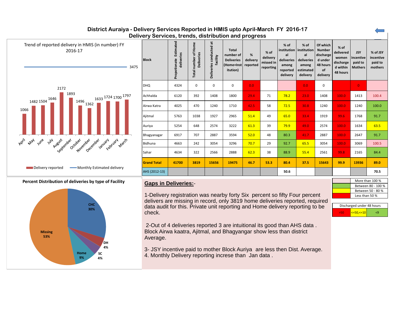# **District Auraiya - Delivery Services Reported in HMIS upto April-March FY 2016-17 Delivery Services, trends, distribution and progress**

| Trend of reported delivery in HMIS (in number) FY<br>2016-17<br>3475                                | <b>Block</b>        | Estimated<br>deliveries<br>Propotionate | of Home<br><b>Deliveries</b><br>number<br><b>Total</b> | $\overleftrightarrow{\mathbf{a}}$<br>Deliveries conducted<br>facility | <b>Total</b><br>number of<br><b>Deliveries</b><br>(Home+Inst reported<br>itution) | %<br>delivery    | % of<br>delivery<br>missed in<br>reporting | % of<br>institution   institution<br>al<br>deliveries<br>among<br>reported<br>delivery | % of<br>al<br>deliveries<br>among<br>estimated<br>delivery | Of which<br><b>Number</b><br>discharge<br>d under<br>48 hours<br>of<br>delivery | % of<br>delivered<br>women<br>discharge<br>d within<br>48 hours | <b>JSY</b><br>incentive<br>paid to<br><b>Mothers</b> | % of JSY<br>incentive<br>paid to<br>mothers |
|-----------------------------------------------------------------------------------------------------|---------------------|-----------------------------------------|--------------------------------------------------------|-----------------------------------------------------------------------|-----------------------------------------------------------------------------------|------------------|--------------------------------------------|----------------------------------------------------------------------------------------|------------------------------------------------------------|---------------------------------------------------------------------------------|-----------------------------------------------------------------|------------------------------------------------------|---------------------------------------------|
| 2172                                                                                                | <b>DHQ</b>          | 4324                                    | $\mathbf 0$                                            | $\mathbf 0$                                                           | 0                                                                                 | 0.0 <sub>1</sub> |                                            |                                                                                        | 0.0                                                        | 0                                                                               |                                                                 | $\mathbf{0}$                                         |                                             |
| 1893<br>1633 <sup>1724</sup> 1700 <sup>1797</sup><br>1482 1504 $\frac{1646}{ }$                     | Achhalda            | 6120                                    | 392                                                    | 1408                                                                  | 1800                                                                              | 29.4             | 71                                         | 78.2                                                                                   | 23.0                                                       | 1408                                                                            | 100.0                                                           | 1413                                                 | 100.4                                       |
| $1496$ <sub>1362</sub><br>1066                                                                      | Airwa Katra         | 4025                                    | 470                                                    | 1240                                                                  | 1710                                                                              | 42.5             | 58                                         | 72.5                                                                                   | 30.8                                                       | 1240                                                                            | 100.0                                                           | 1240                                                 | 100.0                                       |
|                                                                                                     | Ajitmal             | 5763                                    | 1038                                                   | 1927                                                                  | 2965                                                                              | 51.4             | 49                                         | 65.0                                                                                   | 33.4                                                       | 1919                                                                            | 99.6                                                            | 1768                                                 | 91.7                                        |
|                                                                                                     | Auriya              | 5254                                    | 648                                                    | 2574                                                                  | 3222                                                                              | 61.3             | 39                                         | 79.9                                                                                   | 49.0                                                       | 2574                                                                            | 100.0                                                           | 1634                                                 | 63.5                                        |
|                                                                                                     | Bhagyanagar         | 6917                                    | 707                                                    | 2887                                                                  | 3594                                                                              | 52.0             | 48                                         | 80.3                                                                                   | 41.7                                                       | 2887                                                                            | 100.0                                                           | 2647                                                 | 91.7                                        |
| April<br>August<br>Sexistente Octobe Jechnet entre January Anach<br><b>May</b><br>June<br><b>WH</b> | Bidhuna             | 4663                                    | 242                                                    | 3054                                                                  | 3296                                                                              | 70.7             | 29                                         | 92.7                                                                                   | 65.5                                                       | 3054                                                                            | 100.0                                                           | 3069                                                 | 100.5                                       |
|                                                                                                     | Sahar               | 4634                                    | 322                                                    | 2566                                                                  | 2888                                                                              | 62.3             | 38                                         | 88.9                                                                                   | 55.4                                                       | 2561                                                                            | 99.8                                                            | 2165                                                 | 84.4                                        |
|                                                                                                     | <b>Grand Total</b>  | 41700                                   | 3819                                                   | 15656                                                                 | 19475                                                                             | 46.7             | 53.3                                       | 80.4                                                                                   | 37.5                                                       | 15643                                                                           | 99.9                                                            | 13936                                                | 89.0                                        |
| -Monthly Estimated delivery<br>Delivery reported                                                    | AHS (2012-13)       |                                         |                                                        |                                                                       |                                                                                   |                  |                                            | 50.6                                                                                   |                                                            |                                                                                 |                                                                 |                                                      | 70.5                                        |
| Percent Distribution of deliveries by type of Facility                                              | Conce to Deliverton |                                         |                                                        |                                                                       |                                                                                   |                  |                                            |                                                                                        |                                                            |                                                                                 |                                                                 |                                                      | More than 100 %                             |



# **<u>Gaps in Deliveries:</u>-**

1-Delivery registration was nearby forty Six percent so fifty Four percent delivers are missing in record, only 3819 home deliveries reported, required data audit for this. Private unit reporting and Home delivery reporting to be check.

2-Out of 4 deliveries reported 3 are intuitional its good than AHS data . Block Airwa kaatra, Ajitmal, and Bhagyangar show less than district Average.

3- JSY incentive paid to mother Block Auriya are less then Dist. Average. 4. Monthly Delivery reporting increse than Jan data.

Between 80 - 100 % Between 50 - 80 % Less than 50 %

| Discharged under 48 hours                                     |    |
|---------------------------------------------------------------|----|
| $\left  \left  \right  < = 50, \left  \right  < = 10 \right $ | c۹ |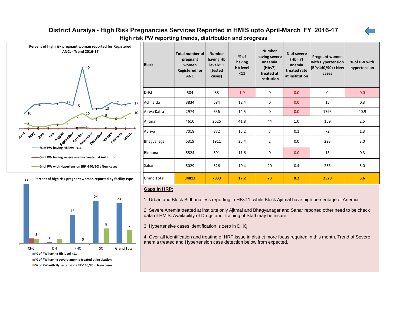# **District Auraiya - High Risk Pregnancies Services Reported in HMIS upto April-March FY 2016-17**



**High risk PW reporting trends, distribution and progress**



**% of PW with Hypertension (BP>140/90) : New cases**

| Percent of high risk pregnant woman reported for Registered<br><b>ANCs - Trend 2016-17</b><br>40 | <b>Block</b>       | Total number of<br>pregnant<br>women<br><b>Registered for</b><br><b>ANC</b> | <b>Number</b><br>having Hb<br>level<11<br>(tested<br>cases) | $%$ of<br>having<br><b>Hb level</b><br>$11$ | <b>Number</b><br>having severe<br>anaemia<br>(Hb<7)<br>treated at<br>institution | % of severe<br>(Hb < 7)<br>anemia<br>treated rate<br>at institution | Pregnant women<br>with Hypertension<br>(BP>140/90) : New<br>cases | % of PW with<br>hypertension |
|--------------------------------------------------------------------------------------------------|--------------------|-----------------------------------------------------------------------------|-------------------------------------------------------------|---------------------------------------------|----------------------------------------------------------------------------------|---------------------------------------------------------------------|-------------------------------------------------------------------|------------------------------|
|                                                                                                  | <b>DHQ</b>         | 504                                                                         | 88                                                          | 1.9                                         | $\mathbf 0$                                                                      | 0.0                                                                 | 0                                                                 | 0.0                          |
| 17<br>15                                                                                         | Achhalda           | 3834                                                                        | 584                                                         | 12.4                                        | $\mathbf 0$                                                                      | 0.0                                                                 | 15                                                                | 0.3                          |
| 10                                                                                               | Airwa Katra        | 2974                                                                        | 636                                                         | 14.5                                        | $\mathbf 0$                                                                      | 0.0                                                                 | 1793                                                              | 40.9                         |
|                                                                                                  | Ajitmal            | 4610                                                                        | 2625                                                        | 41.8                                        | 44                                                                               | 1.0                                                                 | 159                                                               | 2.5                          |
| April<br><b>Wre</b><br>$\mathcal{P}_{\mathcal{H}}$<br><b>Play</b>                                | Auriya             | 7018                                                                        | 872                                                         | 15.2                                        | $\overline{7}$                                                                   | 0.1                                                                 | 72                                                                | 1.3                          |
| place road of centres , anywh , earliest of<br>March<br>August<br>October<br>September           | Bhagyanagar        | 5319                                                                        | 1911                                                        | 25.4                                        | $\overline{2}$                                                                   | 0.0                                                                 | 223                                                               | 3.0                          |
| - % of PW having Hb level <11<br>% of PW having severe anemia treated at institution             | Bidhuna            | 5524                                                                        | 591                                                         | 11.6                                        | $\mathbf 0$                                                                      | 0.0                                                                 | 13                                                                | 0.3                          |
| % of PW with Hypertension (BP>140/90) : New cases                                                | Sahar              | 5029                                                                        | 526                                                         | 10.4                                        | 20                                                                               | 0.4                                                                 | 253                                                               | 5.0                          |
| Percent of high risk pregnant woman reported by facility type<br>33                              | <b>Grand Total</b> | 34812                                                                       | 7833                                                        | 17.2                                        | 73                                                                               | 0.2                                                                 | 2528                                                              | 5.6                          |

### **Gaps in HRP:**

1. Urban and Block Bidhuna less reporting in HB<11, while Block Ajitmal have high percentage of Anemia.

2. Severe Anemia treated at institute only Ajitmal and Bhagyanagar and Sahar reported other need to be check data of HMIS. Availability of Drugs and Training of Staff may be insure

3. Hypertensive cases identification is zero in DHQ.

4. Over all identification and treating of HRP issue in district more focus required in this month. Trend of Severe anemia treated and Hypertension case detection below from expected.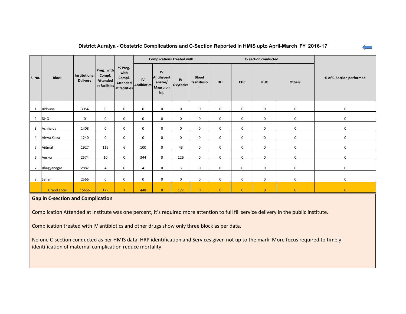|                |                    |                                  |                                                          |                                            |                            | <b>Complications Treated with</b>               |                 |                                                   |                |                | C- section conducted |                |                          |
|----------------|--------------------|----------------------------------|----------------------------------------------------------|--------------------------------------------|----------------------------|-------------------------------------------------|-----------------|---------------------------------------------------|----------------|----------------|----------------------|----------------|--------------------------|
| <b>S. No.</b>  | <b>Block</b>       | Institutional<br><b>Delivery</b> | Preg. with<br>Compl.<br><b>Attended</b><br>at facilities | % Preg.<br>with<br>Compl.<br>at facilities | IV<br>Attended Antibiotics | IV<br>Antihypert<br>ensive/<br>Magsulph<br>Inj. | IV<br>Oxytocics | <b>Blood</b><br><b>Transfusio</b><br>$\mathsf{n}$ | <b>DH</b>      | <b>CHC</b>     | <b>PHC</b>           | Others         | % of C-Section performed |
| 1              | Bidhuna            | 3054                             | $\mathbf 0$                                              | 0                                          | 0                          | $\mathbf 0$                                     | $\mathbf 0$     | $\mathbf 0$                                       | $\mathbf 0$    | 0              | $\mathbf 0$          | 0              | $\mathbf 0$              |
| $\overline{2}$ | <b>DHQ</b>         | 0                                | $\mathbf 0$                                              | 0                                          | 0                          | $\mathbf 0$                                     | $\mathbf 0$     | $\mathbf{0}$                                      | $\mathbf 0$    | 0              | $\mathbf 0$          | $\mathbf 0$    | $\mathbf 0$              |
| 3              | Achhalda           | 1408                             | $\mathbf 0$                                              | 0                                          | 0                          | $\mathbf 0$                                     | $\mathbf 0$     | $\mathbf 0$                                       | $\mathbf 0$    | 0              | 0                    | $\mathbf 0$    | $\mathbf 0$              |
| 4              | Airwa Katra        | 1240                             | $\mathbf 0$                                              | 0                                          | 0                          | $\mathbf 0$                                     | $\mathbf 0$     | $\mathbf{0}$                                      | $\mathbf 0$    | 0              | $\mathbf 0$          | 0              | 0                        |
| 5              | Ajitmal            | 1927                             | 115                                                      | 6                                          | 100                        | $\mathbf 0$                                     | 43              | 0                                                 | $\mathbf 0$    | 0              | 0                    | 0              | $\mathbf 0$              |
| 6              | Auriya             | 2574                             | 10                                                       | $\mathbf 0$                                | 344                        | $\mathbf 0$                                     | 126             | $\mathbf 0$                                       | $\mathbf 0$    | 0              | $\mathbf 0$          | 0              | $\mathbf 0$              |
| $\overline{7}$ | Bhagyanagar        | 2887                             | $\overline{4}$                                           | 0                                          | 4                          | $\mathbf 0$                                     | 3               | $\mathbf 0$                                       | $\mathbf 0$    | 0              | $\mathbf 0$          | $\mathbf 0$    | $\mathbf 0$              |
| 8              | Sahar              | 2566                             | $\mathbf 0$                                              | $\mathbf 0$                                | 0                          | $\mathbf 0$                                     | $\mathbf 0$     | $\mathbf 0$                                       | $\mathbf 0$    | 0              | $\mathbf 0$          | $\mathbf 0$    | $\mathbf 0$              |
|                | <b>Grand Total</b> | 15656                            | 129                                                      | $\mathbf{1}$                               | 448                        | $\overline{0}$                                  | 172             | $\overline{0}$                                    | $\overline{0}$ | $\overline{0}$ | $\overline{0}$       | $\overline{0}$ | $\overline{0}$           |

# **Gap in C-section and Complication**

Complication Attended at Institute was one percent, it's required more attention to full fill service delivery in the public institute.

Complication treated with IV antibiotics and other drugs show only three block as per data.

No one C-section conducted as per HMIS data, HRP identification and Services given not up to the mark. More focus required to timely identification of maternal complication reduce mortality

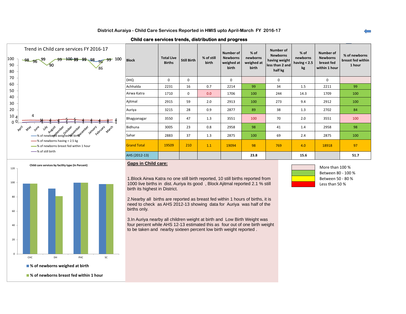**Child care services trends, distribution and progress**

| Trend in Child care services FY 2016-17<br>100<br>$-99$ $100$ $99$ $99$ $98$ $95$ $99$ $100$<br>$-98 - 96 - 99$<br>90<br>$\mathcal{S}_{90}$<br>80 | <b>Block</b>       | <b>Total Live</b><br><b>Births</b> | Still Birth | % of still<br>birth | Number of<br><b>Newborns</b><br>weighed at<br>birth | % of<br>newborns<br>weighed at<br>birth | Number of<br><b>Newborns</b><br>having weight<br>less than 2 and<br>half kg | % of<br>newborns<br>having $< 2.5$<br>kg | <b>Number of</b><br><b>Newborns</b><br>breast fed<br>within 1 hour | % of newborns<br>breast fed within<br>1 hour |
|---------------------------------------------------------------------------------------------------------------------------------------------------|--------------------|------------------------------------|-------------|---------------------|-----------------------------------------------------|-----------------------------------------|-----------------------------------------------------------------------------|------------------------------------------|--------------------------------------------------------------------|----------------------------------------------|
| 70                                                                                                                                                | <b>DHQ</b>         | $\mathbf 0$                        | 0           |                     | 0                                                   |                                         | $\mathbf 0$                                                                 |                                          | 0                                                                  |                                              |
| 60                                                                                                                                                | Achhalda           | 2231                               | 16          | 0.7                 | 2214                                                | 99                                      | 34                                                                          | 1.5                                      | 2211                                                               | 99                                           |
| 50<br>40                                                                                                                                          | Airwa Katra        | 1710                               | $\mathbf 0$ | 0.0                 | 1706                                                | 100                                     | 244                                                                         | 14.3                                     | 1709                                                               | 100                                          |
| 30                                                                                                                                                | Ajitmal            | 2915                               | 59          | 2.0                 | 2913                                                | 100                                     | 273                                                                         | 9.4                                      | 2912                                                               | 100                                          |
| 20                                                                                                                                                | Auriya             | 3215                               | 28          | 0.9                 | 2877                                                | 89                                      | 38                                                                          | 1.3                                      | 2702                                                               | 84                                           |
| 10 <sub>4</sub><br>4<br>ი 0                                                                                                                       | Bhagyanagar        | 3550                               | 47          | 1.3                 | 3551                                                | 100                                     | 70                                                                          | 2.0                                      | 3551                                                               | 100                                          |
| April<br>May                                                                                                                                      | Bidhuna            | 3005                               | 23          | 0.8                 | 2958                                                | 98                                      | 41                                                                          | 1.4                                      | 2958                                                               | 98                                           |
| A use ust passes and cover and control and available and an use                                                                                   | Sahar              | 2883                               | 37          | 1.3                 | 2875                                                | 100                                     | 69                                                                          | 2.4                                      | 2875                                                               | 100                                          |
| -% of newborns having < 2.5 kg<br>-% of newborns breast fed within 1 hour                                                                         | <b>Grand Total</b> | 19509                              | 210         | 1.1                 | 19094                                               | 98                                      | 769                                                                         | 4.0                                      | 18918                                                              | 97                                           |
| -8 of still birth                                                                                                                                 | AHS (2012-13)      |                                    |             |                     |                                                     | 23.8                                    |                                                                             | 15.6                                     |                                                                    | 51.7                                         |
|                                                                                                                                                   |                    |                                    |             |                     |                                                     |                                         |                                                                             |                                          |                                                                    |                                              |



#### **Gaps in Child care:**

1.Block Airwa Katra no one still birth reported, 10 still births reported from 1000 live births in dist. Auriya its good , Block Ajitmal reported 2.1 % still birth its highest in District.

2.Nearby all births are reported as breast fed within 1 hours of births, it is need to check as AHS 2012-13 showing data for Auriya was half of the births only.

3.In Auriya nearby all children weight at birth and Low Birth Weight was four percent while AHS 12-13 estimated this as four out of one birth weight to be taken and nearby sixteen percent low birth weight reported .



More than 100 % Between 80 - 100 % Between 50 - 80 % Less than 50 %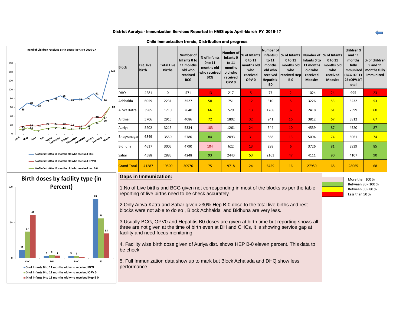#### **District Auraiya - Immunization Services Reported in HMIS upto April-March FY 2016-17**

**Child Immunization trends, Distribution and progress**

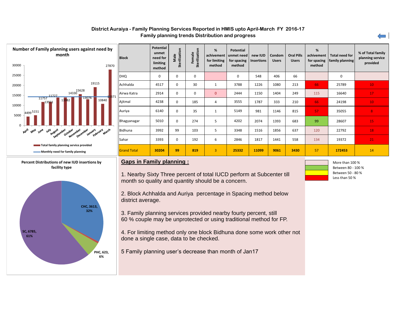## **District Auraiya - Family Planning Services Reported in HMIS upto April-March FY 2016-17 Family planning trends Distribution and progress**







| <b>Block</b>       | <b>Potential</b><br>unmet<br>need for<br>limiting<br>method | Sterilization<br>Male | Sterilization<br>Female | %<br>achivement<br>for limiting<br>method | <b>Potential</b><br>unmet need<br>for spacing<br>method | new IUD<br><b>Insertions</b> | Condom<br><b>Users</b> | <b>Oral Pills</b><br><b>Users</b> | %<br>achivement<br>for spacing<br>method | <b>Total need for</b><br>family planning | % of Total family<br>planning service<br>provided |
|--------------------|-------------------------------------------------------------|-----------------------|-------------------------|-------------------------------------------|---------------------------------------------------------|------------------------------|------------------------|-----------------------------------|------------------------------------------|------------------------------------------|---------------------------------------------------|
| DHQ                | 0                                                           | 0                     | 0                       |                                           | 0                                                       | 548                          | 406                    | 66                                |                                          | $\mathbf 0$                              |                                                   |
| Achhalda           | 4517                                                        | 0                     | 30                      | $\mathbf{1}$                              | 3788                                                    | 1226                         | 1080                   | 213                               | 66                                       | 25789                                    | 10                                                |
| Airwa Katra        | 2914                                                        | $\mathbf 0$           | $\mathbf 0$             | $\overline{0}$                            | 2444                                                    | 1150                         | 1404                   | 249                               | 115                                      | 16640                                    | 17                                                |
| Ajitmal            | 4238                                                        | $\mathbf 0$           | 185                     | 4                                         | 3555                                                    | 1787                         | 333                    | 210                               | 66                                       | 24198                                    | 10                                                |
| Auriya             | 6140                                                        | 0                     | 35                      | $\mathbf{1}$                              | 5149                                                    | 981                          | 1146                   | 815                               | 57                                       | 35055                                    | 8                                                 |
| Bhagyanagar        | 5010                                                        | 0                     | 274                     | 5                                         | 4202                                                    | 2074                         | 1393                   | 683                               | 99                                       | 28607                                    | 15                                                |
| Bidhuna            | 3992                                                        | 99                    | 103                     | 5                                         | 3348                                                    | 1516                         | 1856                   | 637                               | 120                                      | 22792                                    | 18                                                |
| Sahar              | 3393                                                        | 0                     | 192                     | 6                                         | 2846                                                    | 1817                         | 1441                   | 558                               | 134                                      | 19372                                    | 21                                                |
| <b>Grand Total</b> | 30204                                                       | 99                    | 819                     | 3                                         | 25332                                                   | 11099                        | 9061                   | 3430                              | 57                                       | 172453                                   | 14                                                |

# **Gaps in Family planning :**

1. Nearby Sixty Three percent of total IUCD perform at Subcenter till month so quality and quantity should be a concern.

2. Block Achhalda and Auriya percentage in Spacing method below district average.

3. Family planning services provided nearby fourty percent, still 60 % couple may be unprotected or using traditional method for FP.

4. For limiting method only one block Bidhuna done some work other not done a single case, data to be checked.

5 Family planning user's decrease than month of Jan17

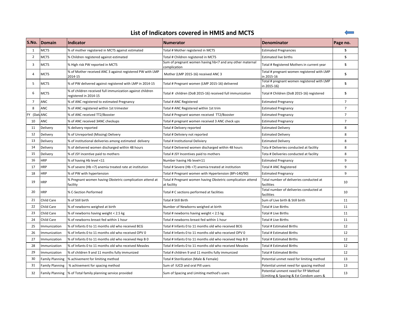# **List of Indicators covered in HMIS and MCTS**

| lS.No.         | <b>IDomain</b>         | <b>Indicator</b>                                                                   | <b>Numerator</b>                                                           | <b>IDenominator</b>                                                             | Page no.       |
|----------------|------------------------|------------------------------------------------------------------------------------|----------------------------------------------------------------------------|---------------------------------------------------------------------------------|----------------|
| 1              | <b>MCTS</b>            | % of mother registered in MCTS against estimated                                   | Total # Mother registered in MCTS                                          | <b>Estimated Pregnancies</b>                                                    | 5              |
| $\overline{2}$ | <b>MCTS</b>            | % Children registered against estimated                                            | Total # Children registered in MCTS                                        | <b>Estimated live births</b>                                                    | 5              |
| 3              | <b>MCTS</b>            | % High risk PW reported in MCTS                                                    | Sum of pregnant women having hb<7 and any other maternal<br>complication   | Total # Registered Mothers in current year                                      | 5              |
| 4              | <b>MCTS</b>            | % of Mother received ANC 3 against registered PW with LMP<br>2014-15               | Mother (LMP 2015-16) received ANC 3                                        | Total # pregnant women registered with LMP<br>in 2015-16                        | 5              |
| 5              | <b>MCTS</b>            | % of PW delivered against registered with LMP in 2014-15                           | Total # Pregnant women (LMP 2015-16) delivered                             | Total # pregnant women registered with LMP<br>in 2015-16)                       | 5              |
| 6              | <b>MCTS</b>            | % of children received full immunization against children<br>registered in 2014-15 | Total # children (DoB 2015-16) received full immunization                  | Total # Children (DoB 2015-16) registered                                       | 5              |
| 7              | <b>ANC</b>             | % of ANC registered to estimated Pregnancy                                         | Total # ANC Registered                                                     | <b>Estimated Pregnancy</b>                                                      | $\overline{7}$ |
| 8              | <b>ANC</b>             | % of ANC registered within 1st trimester                                           | Total # ANC Registered within 1st trim                                     | <b>Estimated Pregnancy</b>                                                      | $\overline{7}$ |
| FY (DataANC    |                        | % of ANC received TT2/Booster                                                      | Total # Pregnant women received TT2/Booster                                | <b>Estimated Pregnancy</b>                                                      | $\overline{7}$ |
| 10             | <b>ANC</b>             | % of ANC received 3ANC checkups                                                    | Total # pregnant women received 3 ANC check ups                            | <b>Estimated Pregnancy</b>                                                      | $\overline{7}$ |
| 11             | Delivery               | % delivery reported                                                                | Total # Delivery reported                                                  | <b>Estimated Delivery</b>                                                       | 8              |
| 12             | Delivery               | % of Unreported (Missing) Delivery                                                 | Total # Deliviery not reported                                             | <b>Estimated Delivery</b>                                                       | 8              |
| 13             | Delivery               | % of institutional deliveries among estimated delivery                             | Total # Institutional Deliviery                                            | <b>Estimated Delivery</b>                                                       | 8              |
| 14             | Delivery               | % of delivered women discharged within 48 hours                                    | Total # Delivered women discharged within 48 hours                         | Tota # Deliveries conducted at facility                                         | 8              |
| 15             | Delivery               | % of JSY incentive paid to mothers                                                 | Total # JSY Incentives paid to mothers                                     | Tota # Deliveries conducted at facility                                         | 8              |
| 16             | <b>HRP</b>             | % of having Hb level <11                                                           | Number having Hb level<11                                                  | <b>Estimated Pregnancy</b>                                                      | 9              |
| 17             | <b>HRP</b>             | % of severe (Hb <7) anemia treated rate at institution                             | Total # Severe (Hb <7) anemia treated at institution                       | Total # ANC Registered                                                          | 9              |
| 18             | <b>HRP</b>             | % of PW with hypertension                                                          | Total # Pregnant women with Hypertension (BP>140/90)                       | <b>Estimated Pregnancy</b>                                                      | 9              |
| 19             | <b>HRP</b>             | % Pregnant women having Obstetric complication attend at<br>facility               | Total # Pregnant women having Obstetric complication attend<br>at facility | Total number of deliveries conducted at<br>facilities                           | 10             |
| 20             | <b>HRP</b>             | % C-Section Performed                                                              | Total # C sections performed at facilities                                 | Total number of deliveries conducted at<br>facilities                           | 10             |
| 21             | Child Care             | % of Still birth                                                                   | Total # Still Birth                                                        | Sum of Live birth & Still birth                                                 | 11             |
| 22             | Child Care             | % of newborns weighed at birth                                                     | Number of Newborns weighed at birth                                        | Total # Live Births                                                             | 11             |
| 23             | Child Care             | % of newborns having weight < 2.5 kg                                               | Total # newborns having weight < 2.5 kg                                    | Total # Live Births                                                             | 11             |
| 24             | <b>Child Care</b>      | % of newborns breast fed within 1 hour                                             | Total # newborns breast fed within 1 hour                                  | Total # Live Births                                                             | 11             |
| 25             | Immunization           | % of Infants 0 to 11 months old who received BCG                                   | Total # Infants 0 to 11 months old who received BCG                        | Total # Estimated Births                                                        | 12             |
| 26             | Immunization           | % of Infants 0 to 11 months old who received OPV 0                                 | Total # Infants 0 to 11 months old who received OPV 0                      | <b>Total # Estimated Births</b>                                                 | 12             |
| 27             | Immunization           | % of Infants 0 to 11 months old who received Hep B 0                               | Total # Infants 0 to 11 months old who received Hep B 0                    | Total # Estimated Births                                                        | 12             |
| 28             | Immunization           | % of Infants 0 to 11 months old who received Measles                               | Total # Infants 0 to 11 months old who received Measles                    | Total # Estimated Births                                                        | 12             |
| 29             | Immunization           | % of children 9 and 11 months fully immunized                                      | Total # children 9 and 11 months fully immunized                           | Total # Estimated Births                                                        | 12             |
| 30             | <b>Family Planning</b> | % achivement for limiting method                                                   | Total # Sterilization (Male & Female)                                      | Potential unmet need for limiting method                                        | 13             |
| 31             | <b>Family Planning</b> | % achivement for spacing method                                                    | Sum of IUCD and oral Pill users                                            | Potential unmet need for spacing method                                         | 13             |
| 32             | <b>Family Planning</b> | % of Total family planning service provided                                        | Sum of Spacing and Limiting method's users                                 | Potential unment need for FP Method<br>(Limiting & Spacing & Est Condom users & | 13             |

 $\leftarrow$